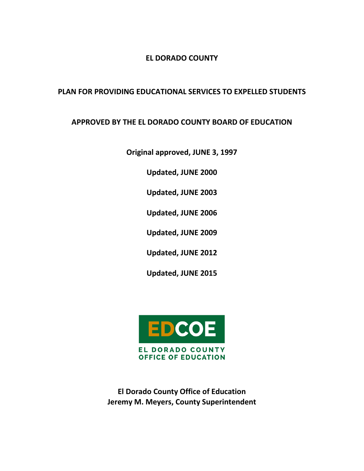# **EL DORADO COUNTY**

# **PLAN FOR PROVIDING EDUCATIONAL SERVICES TO EXPELLED STUDENTS**

# **APPROVED BY THE EL DORADO COUNTY BOARD OF EDUCATION**

**Original approved, JUNE 3, 1997** 

**Updated, JUNE 2000** 

**Updated, JUNE 2003** 

**Updated, JUNE 2006**

**Updated, JUNE 2009**

**Updated, JUNE 2012**

**Updated, JUNE 2015**



**El Dorado County Office of Education Jeremy M. Meyers, County Superintendent**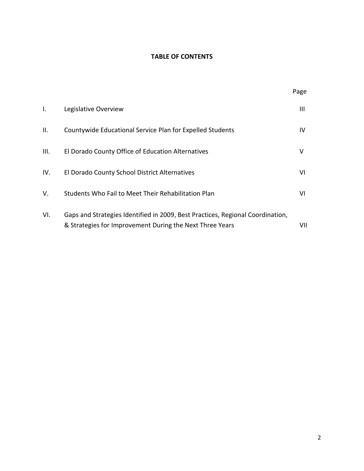# **TABLE OF CONTENTS**

|      |                                                                                                                                            | Page |
|------|--------------------------------------------------------------------------------------------------------------------------------------------|------|
| Ι.   | Legislative Overview                                                                                                                       | Ш    |
| Ш.   | Countywide Educational Service Plan for Expelled Students                                                                                  | IV   |
| III. | El Dorado County Office of Education Alternatives                                                                                          | v    |
| IV.  | El Dorado County School District Alternatives                                                                                              | VI   |
| V.   | Students Who Fail to Meet Their Rehabilitation Plan                                                                                        | VI   |
| VI.  | Gaps and Strategies Identified in 2009, Best Practices, Regional Coordination,<br>& Strategies for Improvement During the Next Three Years | VII  |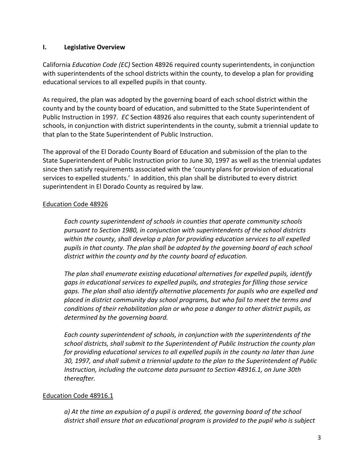#### **I. Legislative Overview**

California *Education Code (EC)* Section 48926 required county superintendents, in conjunction with superintendents of the school districts within the county, to develop a plan for providing educational services to all expelled pupils in that county.

As required, the plan was adopted by the governing board of each school district within the county and by the county board of education, and submitted to the State Superintendent of Public Instruction in 1997. *EC* Section 48926 also requires that each county superintendent of schools, in conjunction with district superintendents in the county, submit a triennial update to that plan to the State Superintendent of Public Instruction.

The approval of the El Dorado County Board of Education and submission of the plan to the State Superintendent of Public Instruction prior to June 30, 1997 as well as the triennial updates since then satisfy requirements associated with the 'county plans for provision of educational services to expelled students.' In addition, this plan shall be distributed to every district superintendent in El Dorado County as required by law.

# Education Code 48926

*Each county superintendent of schools in counties that operate community schools pursuant to Section 1980, in conjunction with superintendents of the school districts within the county, shall develop a plan for providing education services to all expelled pupils in that county. The plan shall be adopted by the governing board of each school district within the county and by the county board of education.* 

*The plan shall enumerate existing educational alternatives for expelled pupils, identify gaps in educational services to expelled pupils, and strategies for filling those service gaps. The plan shall also identify alternative placements for pupils who are expelled and placed in district community day school programs, but who fail to meet the terms and conditions of their rehabilitation plan or who pose a danger to other district pupils, as determined by the governing board.* 

*Each county superintendent of schools, in conjunction with the superintendents of the school districts, shall submit to the Superintendent of Public Instruction the county plan for providing educational services to all expelled pupils in the county no later than June 30, 1997, and shall submit a triennial update to the plan to the Superintendent of Public Instruction, including the outcome data pursuant to Section 48916.1, on June 30th thereafter.*

# Education Code 48916.1

*a) At the time an expulsion of a pupil is ordered, the governing board of the school district shall ensure that an educational program is provided to the pupil who is subject*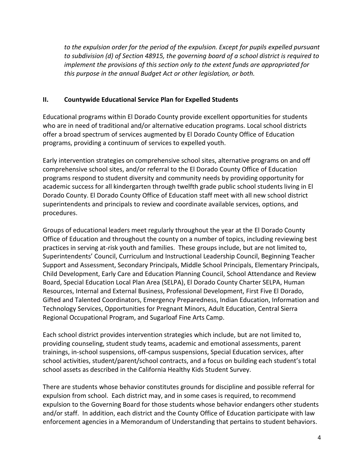*to the expulsion order for the period of the expulsion. Except for pupils expelled pursuant to subdivision (d) of Section 48915, the governing board of a school district is required to implement the provisions of this section only to the extent funds are appropriated for this purpose in the annual Budget Act or other legislation, or both.*

# **II. Countywide Educational Service Plan for Expelled Students**

Educational programs within El Dorado County provide excellent opportunities for students who are in need of traditional and/or alternative education programs. Local school districts offer a broad spectrum of services augmented by El Dorado County Office of Education programs, providing a continuum of services to expelled youth.

Early intervention strategies on comprehensive school sites, alternative programs on and off comprehensive school sites, and/or referral to the El Dorado County Office of Education programs respond to student diversity and community needs by providing opportunity for academic success for all kindergarten through twelfth grade public school students living in El Dorado County. El Dorado County Office of Education staff meet with all new school district superintendents and principals to review and coordinate available services, options, and procedures.

Groups of educational leaders meet regularly throughout the year at the El Dorado County Office of Education and throughout the county on a number of topics, including reviewing best practices in serving at-risk youth and families. These groups include, but are not limited to, Superintendents' Council, Curriculum and Instructional Leadership Council, Beginning Teacher Support and Assessment, Secondary Principals, Middle School Principals, Elementary Principals, Child Development, Early Care and Education Planning Council, School Attendance and Review Board, Special Education Local Plan Area (SELPA), El Dorado County Charter SELPA, Human Resources, Internal and External Business, Professional Development, First Five El Dorado, Gifted and Talented Coordinators, Emergency Preparedness, Indian Education, Information and Technology Services, Opportunities for Pregnant Minors, Adult Education, Central Sierra Regional Occupational Program, and Sugarloaf Fine Arts Camp.

Each school district provides intervention strategies which include, but are not limited to, providing counseling, student study teams, academic and emotional assessments, parent trainings, in-school suspensions, off-campus suspensions, Special Education services, after school activities, student/parent/school contracts, and a focus on building each student's total school assets as described in the California Healthy Kids Student Survey.

There are students whose behavior constitutes grounds for discipline and possible referral for expulsion from school. Each district may, and in some cases is required, to recommend expulsion to the Governing Board for those students whose behavior endangers other students and/or staff. In addition, each district and the County Office of Education participate with law enforcement agencies in a Memorandum of Understanding that pertains to student behaviors.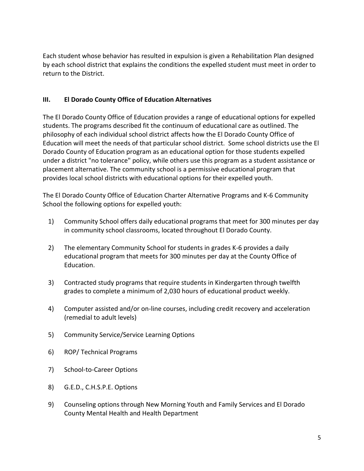Each student whose behavior has resulted in expulsion is given a Rehabilitation Plan designed by each school district that explains the conditions the expelled student must meet in order to return to the District.

# **III. El Dorado County Office of Education Alternatives**

The El Dorado County Office of Education provides a range of educational options for expelled students. The programs described fit the continuum of educational care as outlined. The philosophy of each individual school district affects how the El Dorado County Office of Education will meet the needs of that particular school district. Some school districts use the El Dorado County of Education program as an educational option for those students expelled under a district "no tolerance" policy, while others use this program as a student assistance or placement alternative. The community school is a permissive educational program that provides local school districts with educational options for their expelled youth.

The El Dorado County Office of Education Charter Alternative Programs and K-6 Community School the following options for expelled youth:

- 1) Community School offers daily educational programs that meet for 300 minutes per day in community school classrooms, located throughout El Dorado County.
- 2) The elementary Community School for students in grades K-6 provides a daily educational program that meets for 300 minutes per day at the County Office of Education.
- 3) Contracted study programs that require students in Kindergarten through twelfth grades to complete a minimum of 2,030 hours of educational product weekly.
- 4) Computer assisted and/or on-line courses, including credit recovery and acceleration (remedial to adult levels)
- 5) Community Service/Service Learning Options
- 6) ROP/ Technical Programs
- 7) School-to-Career Options
- 8) G.E.D., C.H.S.P.E. Options
- 9) Counseling options through New Morning Youth and Family Services and El Dorado County Mental Health and Health Department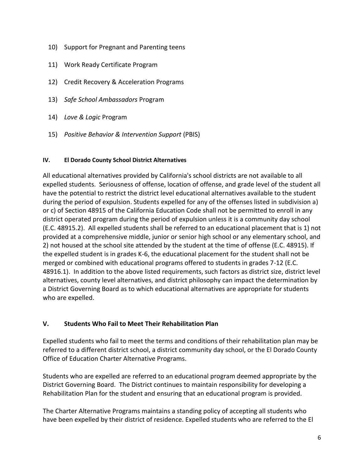- 10) Support for Pregnant and Parenting teens
- 11) Work Ready Certificate Program
- 12) Credit Recovery & Acceleration Programs
- 13) *Safe School Ambassadors* Program
- 14) *Love & Logic* Program
- 15) *Positive Behavior & Intervention Support* (PBIS)

# **IV. El Dorado County School District Alternatives**

All educational alternatives provided by California's school districts are not available to all expelled students. Seriousness of offense, location of offense, and grade level of the student all have the potential to restrict the district level educational alternatives available to the student during the period of expulsion. Students expelled for any of the offenses listed in subdivision a) or c) of Section 48915 of the California Education Code shall not be permitted to enroll in any district operated program during the period of expulsion unless it is a community day school (E.C. 48915.2). All expelled students shall be referred to an educational placement that is 1) not provided at a comprehensive middle, junior or senior high school or any elementary school, and 2) not housed at the school site attended by the student at the time of offense (E.C. 48915). If the expelled student is in grades K-6, the educational placement for the student shall not be merged or combined with educational programs offered to students in grades 7-12 (E.C. 48916.1). In addition to the above listed requirements, such factors as district size, district level alternatives, county level alternatives, and district philosophy can impact the determination by a District Governing Board as to which educational alternatives are appropriate for students who are expelled.

# **V. Students Who Fail to Meet Their Rehabilitation Plan**

Expelled students who fail to meet the terms and conditions of their rehabilitation plan may be referred to a different district school, a district community day school, or the El Dorado County Office of Education Charter Alternative Programs.

Students who are expelled are referred to an educational program deemed appropriate by the District Governing Board. The District continues to maintain responsibility for developing a Rehabilitation Plan for the student and ensuring that an educational program is provided.

The Charter Alternative Programs maintains a standing policy of accepting all students who have been expelled by their district of residence. Expelled students who are referred to the El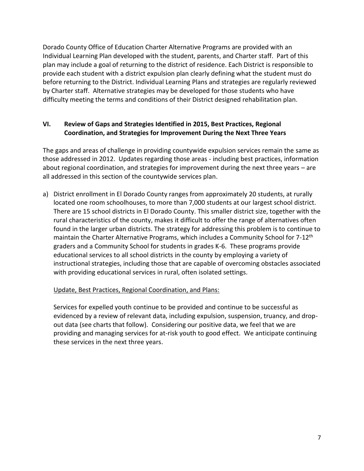Dorado County Office of Education Charter Alternative Programs are provided with an Individual Learning Plan developed with the student, parents, and Charter staff. Part of this plan may include a goal of returning to the district of residence. Each District is responsible to provide each student with a district expulsion plan clearly defining what the student must do before returning to the District. Individual Learning Plans and strategies are regularly reviewed by Charter staff. Alternative strategies may be developed for those students who have difficulty meeting the terms and conditions of their District designed rehabilitation plan.

# **VI. Review of Gaps and Strategies Identified in 2015, Best Practices, Regional Coordination, and Strategies for Improvement During the Next Three Years**

The gaps and areas of challenge in providing countywide expulsion services remain the same as those addressed in 2012. Updates regarding those areas - including best practices, information about regional coordination, and strategies for improvement during the next three years – are all addressed in this section of the countywide services plan.

a) District enrollment in El Dorado County ranges from approximately 20 students, at rurally located one room schoolhouses, to more than 7,000 students at our largest school district. There are 15 school districts in El Dorado County. This smaller district size, together with the rural characteristics of the county, makes it difficult to offer the range of alternatives often found in the larger urban districts. The strategy for addressing this problem is to continue to maintain the Charter Alternative Programs, which includes a Community School for 7-12<sup>th</sup> graders and a Community School for students in grades K-6. These programs provide educational services to all school districts in the county by employing a variety of instructional strategies, including those that are capable of overcoming obstacles associated with providing educational services in rural, often isolated settings.

# Update, Best Practices, Regional Coordination, and Plans:

Services for expelled youth continue to be provided and continue to be successful as evidenced by a review of relevant data, including expulsion, suspension, truancy, and dropout data (see charts that follow). Considering our positive data, we feel that we are providing and managing services for at-risk youth to good effect. We anticipate continuing these services in the next three years.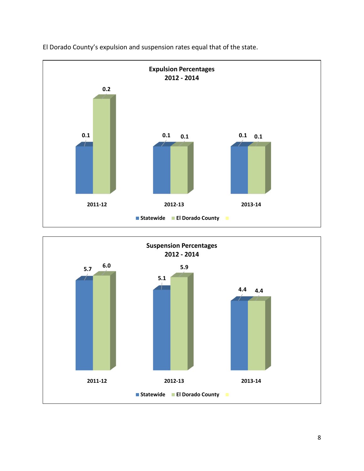

El Dorado County's expulsion and suspension rates equal that of the state.

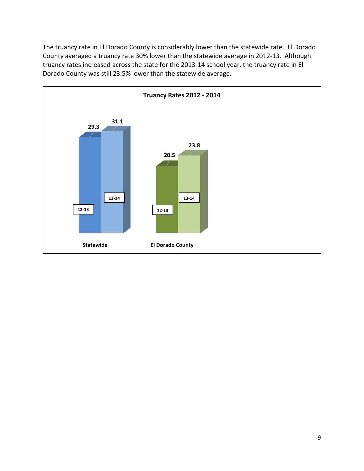The truancy rate in El Dorado County is considerably lower than the statewide rate. El Dorado County averaged a truancy rate 30% lower than the statewide average in 2012-13. Although truancy rates increased across the state for the 2013-14 school year, the truancy rate in El Dorado County was still 23.5% lower than the statewide average.

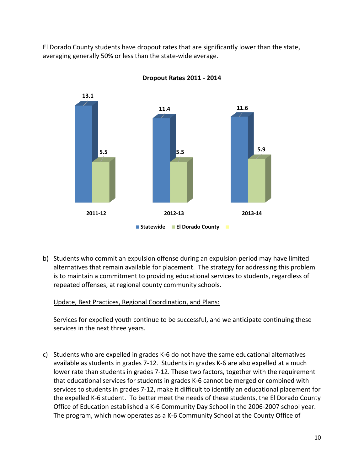

El Dorado County students have dropout rates that are significantly lower than the state, averaging generally 50% or less than the state-wide average.

b) Students who commit an expulsion offense during an expulsion period may have limited alternatives that remain available for placement. The strategy for addressing this problem is to maintain a commitment to providing educational services to students, regardless of repeated offenses, at regional county community schools.

# Update, Best Practices, Regional Coordination, and Plans:

Services for expelled youth continue to be successful, and we anticipate continuing these services in the next three years.

c) Students who are expelled in grades K-6 do not have the same educational alternatives available as students in grades 7-12. Students in grades K-6 are also expelled at a much lower rate than students in grades 7-12. These two factors, together with the requirement that educational services for students in grades K-6 cannot be merged or combined with services to students in grades 7-12, make it difficult to identify an educational placement for the expelled K-6 student. To better meet the needs of these students, the El Dorado County Office of Education established a K-6 Community Day School in the 2006-2007 school year. The program, which now operates as a K-6 Community School at the County Office of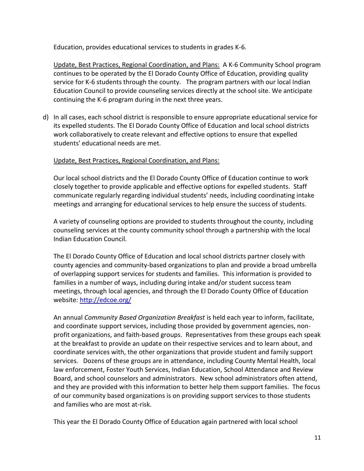Education, provides educational services to students in grades K-6.

Update, Best Practices, Regional Coordination, and Plans: A K-6 Community School program continues to be operated by the El Dorado County Office of Education, providing quality service for K-6 students through the county. The program partners with our local Indian Education Council to provide counseling services directly at the school site. We anticipate continuing the K-6 program during in the next three years.

d) In all cases, each school district is responsible to ensure appropriate educational service for its expelled students. The El Dorado County Office of Education and local school districts work collaboratively to create relevant and effective options to ensure that expelled students' educational needs are met.

# Update, Best Practices, Regional Coordination, and Plans:

Our local school districts and the El Dorado County Office of Education continue to work closely together to provide applicable and effective options for expelled students. Staff communicate regularly regarding individual students' needs, including coordinating intake meetings and arranging for educational services to help ensure the success of students.

A variety of counseling options are provided to students throughout the county, including counseling services at the county community school through a partnership with the local Indian Education Council.

The El Dorado County Office of Education and local school districts partner closely with county agencies and community-based organizations to plan and provide a broad umbrella of overlapping support services for students and families. This information is provided to families in a number of ways, including during intake and/or student success team meetings, through local agencies, and through the El Dorado County Office of Education website:<http://edcoe.org/>

An annual *Community Based Organization Breakfast* is held each year to inform, facilitate, and coordinate support services, including those provided by government agencies, nonprofit organizations, and faith-based groups. Representatives from these groups each speak at the breakfast to provide an update on their respective services and to learn about, and coordinate services with, the other organizations that provide student and family support services. Dozens of these groups are in attendance, including County Mental Health, local law enforcement, Foster Youth Services, Indian Education, School Attendance and Review Board, and school counselors and administrators. New school administrators often attend, and they are provided with this information to better help them support families. The focus of our community based organizations is on providing support services to those students and families who are most at-risk.

This year the El Dorado County Office of Education again partnered with local school